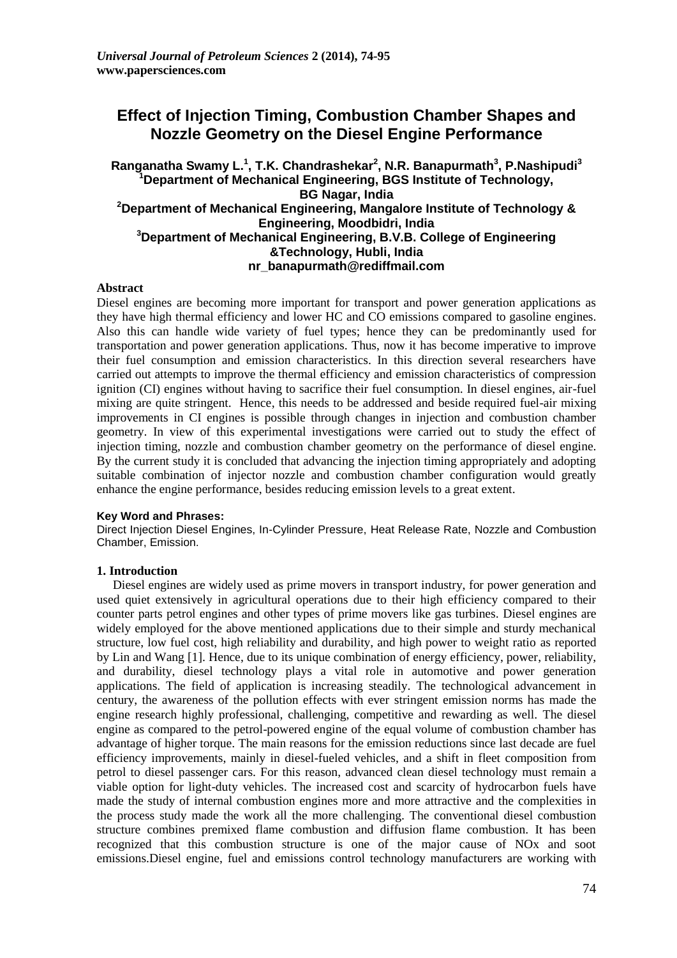# **Effect of Injection Timing, Combustion Chamber Shapes and Nozzle Geometry on the Diesel Engine Performance**

## **Ranganatha Swamy L. 1 , T.K. Chandrashekar<sup>2</sup> , N.R. Banapurmath<sup>3</sup> , P.Nashipudi<sup>3</sup> <sup>1</sup>Department of Mechanical Engineering, BGS Institute of Technology, BG Nagar, India <sup>2</sup>Department of Mechanical Engineering, Mangalore Institute of Technology & Engineering, Moodbidri, India <sup>3</sup>Department of Mechanical Engineering, B.V.B. College of Engineering &Technology, Hubli, India nr\_banapurmath@rediffmail.com**

## **Abstract**

Diesel engines are becoming more important for transport and power generation applications as they have high thermal efficiency and lower HC and CO emissions compared to gasoline engines. Also this can handle wide variety of fuel types; hence they can be predominantly used for transportation and power generation applications. Thus, now it has become imperative to improve their fuel consumption and emission characteristics. In this direction several researchers have carried out attempts to improve the thermal efficiency and emission characteristics of compression ignition (CI) engines without having to sacrifice their fuel consumption. In diesel engines, air-fuel mixing are quite stringent. Hence, this needs to be addressed and beside required fuel-air mixing improvements in CI engines is possible through changes in injection and combustion chamber geometry. In view of this experimental investigations were carried out to study the effect of injection timing, nozzle and combustion chamber geometry on the performance of diesel engine. By the current study it is concluded that advancing the injection timing appropriately and adopting suitable combination of injector nozzle and combustion chamber configuration would greatly enhance the engine performance, besides reducing emission levels to a great extent.

## **Key Word and Phrases:**

Direct Injection Diesel Engines, In-Cylinder Pressure, Heat Release Rate, Nozzle and Combustion Chamber, Emission.

## **1. Introduction**

Diesel engines are widely used as prime movers in transport industry, for power generation and used quiet extensively in agricultural operations due to their high efficiency compared to their counter parts petrol engines and other types of prime movers like gas turbines. Diesel engines are widely employed for the above mentioned applications due to their simple and sturdy mechanical structure, low fuel cost, high reliability and durability, and high power to weight ratio as reported by Lin and Wang [1]. Hence, due to its unique combination of energy efficiency, power, reliability, and durability, diesel technology plays a vital role in automotive and power generation applications. The field of application is increasing steadily. The technological advancement in century, the awareness of the pollution effects with ever stringent emission norms has made the engine research highly professional, challenging, competitive and rewarding as well. The diesel engine as compared to the petrol-powered engine of the equal volume of combustion chamber has advantage of higher torque. The main reasons for the emission reductions since last decade are fuel efficiency improvements, mainly in diesel-fueled vehicles, and a shift in fleet composition from petrol to diesel passenger cars. For this reason, advanced clean diesel technology must remain a viable option for light-duty vehicles. The increased cost and scarcity of hydrocarbon fuels have made the study of internal combustion engines more and more attractive and the complexities in the process study made the work all the more challenging. The conventional diesel combustion structure combines premixed flame combustion and diffusion flame combustion. It has been recognized that this combustion structure is one of the major cause of NOx and soot emissions.Diesel engine, fuel and emissions control technology manufacturers are working with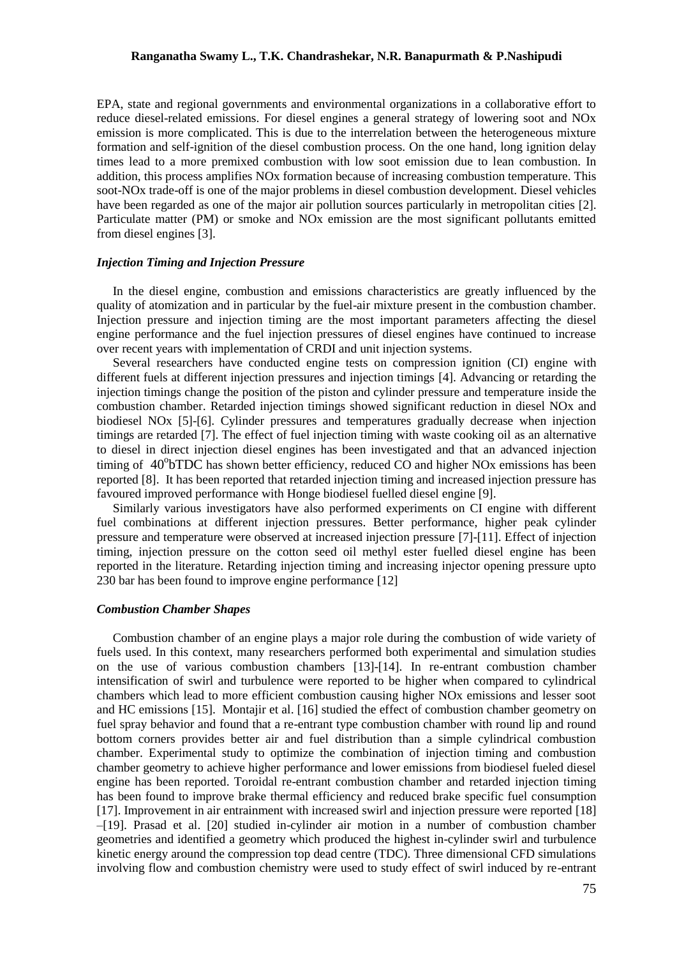EPA, state and regional governments and environmental organizations in a collaborative effort to reduce diesel-related emissions. For diesel engines a general strategy of lowering soot and NOx emission is more complicated. This is due to the interrelation between the heterogeneous mixture formation and self-ignition of the diesel combustion process. On the one hand, long ignition delay times lead to a more premixed combustion with low soot emission due to lean combustion. In addition, this process amplifies NOx formation because of increasing combustion temperature. This soot-NOx trade-off is one of the major problems in diesel combustion development. Diesel vehicles have been regarded as one of the major air pollution sources particularly in metropolitan cities [2]. Particulate matter (PM) or smoke and NOx emission are the most significant pollutants emitted from diesel engines [3].

### *Injection Timing and Injection Pressure*

In the diesel engine, combustion and emissions characteristics are greatly influenced by the quality of atomization and in particular by the fuel-air mixture present in the combustion chamber. Injection pressure and injection timing are the most important parameters affecting the diesel engine performance and the fuel injection pressures of diesel engines have continued to increase over recent years with implementation of CRDI and unit injection systems.

Several researchers have conducted engine tests on compression ignition (CI) engine with different fuels at different injection pressures and injection timings [4]. Advancing or retarding the injection timings change the position of the piston and cylinder pressure and temperature inside the combustion chamber. Retarded injection timings showed significant reduction in diesel NOx and biodiesel NOx [5]-[6]. Cylinder pressures and temperatures gradually decrease when injection timings are retarded [7]. The effect of fuel injection timing with waste cooking oil as an alternative to diesel in direct injection diesel engines has been investigated and that an advanced injection timing of  $40^{\circ}$ bTDC has shown better efficiency, reduced CO and higher NOx emissions has been reported [8]. It has been reported that retarded injection timing and increased injection pressure has favoured improved performance with Honge biodiesel fuelled diesel engine [9].

Similarly various investigators have also performed experiments on CI engine with different fuel combinations at different injection pressures. Better performance, higher peak cylinder pressure and temperature were observed at increased injection pressure [7]-[11]. Effect of injection timing, injection pressure on the cotton seed oil methyl ester fuelled diesel engine has been reported in the literature. Retarding injection timing and increasing injector opening pressure upto 230 bar has been found to improve engine performance [12]

### *Combustion Chamber Shapes*

Combustion chamber of an engine plays a major role during the combustion of wide variety of fuels used. In this context, many researchers performed both experimental and simulation studies on the use of various combustion chambers [13]-[14]. In re-entrant combustion chamber intensification of swirl and turbulence were reported to be higher when compared to cylindrical chambers which lead to more efficient combustion causing higher NOx emissions and lesser soot and HC emissions [15]. Montajir et al. [16] studied the effect of combustion chamber geometry on fuel spray behavior and found that a re-entrant type combustion chamber with round lip and round bottom corners provides better air and fuel distribution than a simple cylindrical combustion chamber. Experimental study to optimize the combination of injection timing and combustion chamber geometry to achieve higher performance and lower emissions from biodiesel fueled diesel engine has been reported. Toroidal re-entrant combustion chamber and retarded injection timing has been found to improve brake thermal efficiency and reduced brake specific fuel consumption [17]. Improvement in air entrainment with increased swirl and injection pressure were reported [18] –[19]. Prasad et al. [20] studied in-cylinder air motion in a number of combustion chamber geometries and identified a geometry which produced the highest in-cylinder swirl and turbulence kinetic energy around the compression top dead centre (TDC). Three dimensional CFD simulations involving flow and combustion chemistry were used to study effect of swirl induced by re-entrant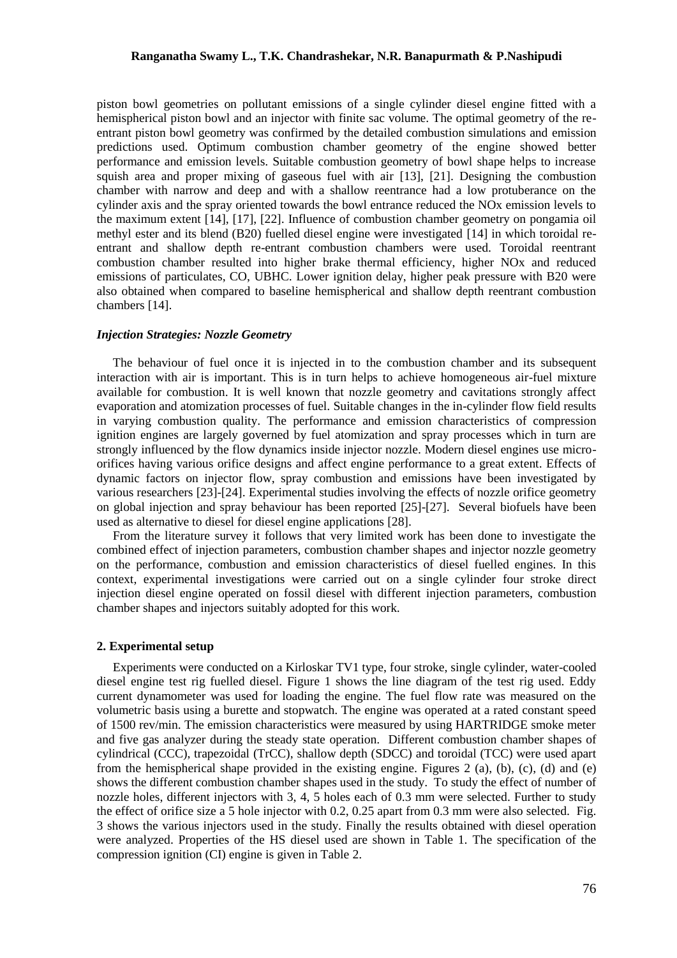piston bowl geometries on pollutant emissions of a single cylinder diesel engine fitted with a hemispherical piston bowl and an injector with finite sac volume. The optimal geometry of the reentrant piston bowl geometry was confirmed by the detailed combustion simulations and emission predictions used. Optimum combustion chamber geometry of the engine showed better performance and emission levels. Suitable combustion geometry of bowl shape helps to increase squish area and proper mixing of gaseous fuel with air [13], [21]. Designing the combustion chamber with narrow and deep and with a shallow reentrance had a low protuberance on the cylinder axis and the spray oriented towards the bowl entrance reduced the NOx emission levels to the maximum extent [14], [17], [22]. Influence of combustion chamber geometry on pongamia oil methyl ester and its blend (B20) fuelled diesel engine were investigated [14] in which toroidal reentrant and shallow depth re-entrant combustion chambers were used. Toroidal reentrant combustion chamber resulted into higher brake thermal efficiency, higher NOx and reduced emissions of particulates, CO, UBHC. Lower ignition delay, higher peak pressure with B20 were also obtained when compared to baseline hemispherical and shallow depth reentrant combustion chambers [14].

### *Injection Strategies: Nozzle Geometry*

The behaviour of fuel once it is injected in to the combustion chamber and its subsequent interaction with air is important. This is in turn helps to achieve homogeneous air-fuel mixture available for combustion. It is well known that nozzle geometry and cavitations strongly affect evaporation and atomization processes of fuel. Suitable changes in the in-cylinder flow field results in varying combustion quality. The performance and emission characteristics of compression ignition engines are largely governed by fuel atomization and spray processes which in turn are strongly influenced by the flow dynamics inside injector nozzle. Modern diesel engines use microorifices having various orifice designs and affect engine performance to a great extent. Effects of dynamic factors on injector flow, spray combustion and emissions have been investigated by various researchers [23]-[24]. Experimental studies involving the effects of nozzle orifice geometry on global injection and spray behaviour has been reported [25]-[27]. Several biofuels have been used as alternative to diesel for diesel engine applications [28].

From the literature survey it follows that very limited work has been done to investigate the combined effect of injection parameters, combustion chamber shapes and injector nozzle geometry on the performance, combustion and emission characteristics of diesel fuelled engines. In this context, experimental investigations were carried out on a single cylinder four stroke direct injection diesel engine operated on fossil diesel with different injection parameters, combustion chamber shapes and injectors suitably adopted for this work.

### **2. Experimental setup**

Experiments were conducted on a Kirloskar TV1 type, four stroke, single cylinder, water-cooled diesel engine test rig fuelled diesel. Figure 1 shows the line diagram of the test rig used. Eddy current dynamometer was used for loading the engine. The fuel flow rate was measured on the volumetric basis using a burette and stopwatch. The engine was operated at a rated constant speed of 1500 rev/min. The emission characteristics were measured by using HARTRIDGE smoke meter and five gas analyzer during the steady state operation. Different combustion chamber shapes of cylindrical (CCC), trapezoidal (TrCC), shallow depth (SDCC) and toroidal (TCC) were used apart from the hemispherical shape provided in the existing engine. Figures 2 (a), (b), (c), (d) and (e) shows the different combustion chamber shapes used in the study. To study the effect of number of nozzle holes, different injectors with 3, 4, 5 holes each of 0.3 mm were selected. Further to study the effect of orifice size a 5 hole injector with 0.2, 0.25 apart from 0.3 mm were also selected. Fig. 3 shows the various injectors used in the study. Finally the results obtained with diesel operation were analyzed. Properties of the HS diesel used are shown in Table 1. The specification of the compression ignition (CI) engine is given in Table 2.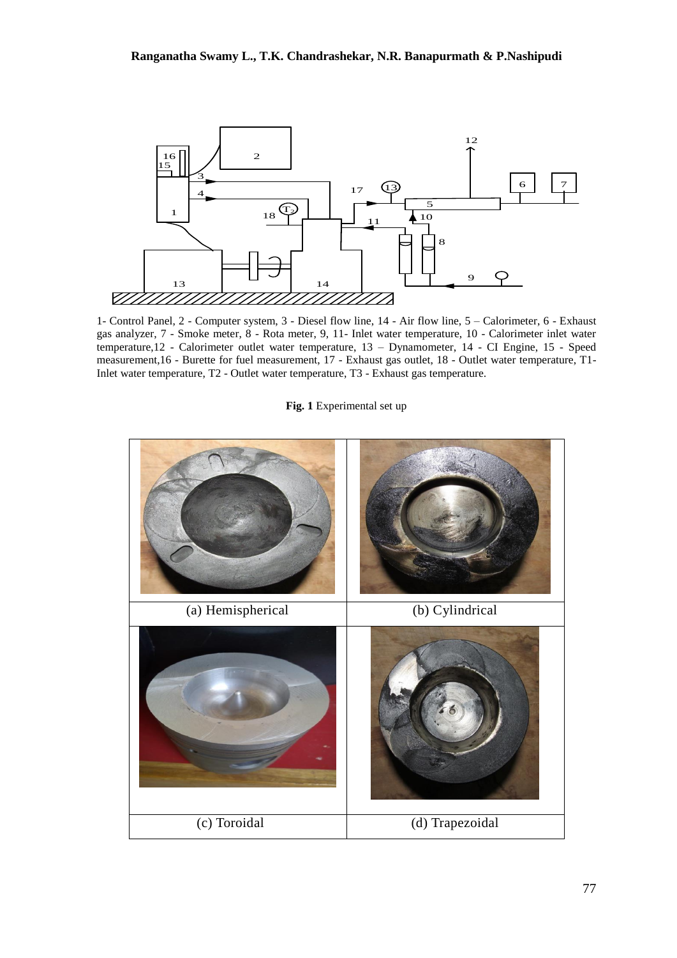

1- Control Panel, 2 - Computer system, 3 - Diesel flow line, 14 - Air flow line, 5 – Calorimeter, 6 - Exhaust gas analyzer, 7 - Smoke meter, 8 - Rota meter, 9, 11- Inlet water temperature, 10 - Calorimeter inlet water temperature,12 - Calorimeter outlet water temperature, 13 – Dynamometer, 14 - CI Engine, 15 - Speed measurement,16 - Burette for fuel measurement, 17 - Exhaust gas outlet, 18 - Outlet water temperature, T1- Inlet water temperature, T2 - Outlet water temperature, T3 - Exhaust gas temperature.

### **Fig. 1** Experimental set up

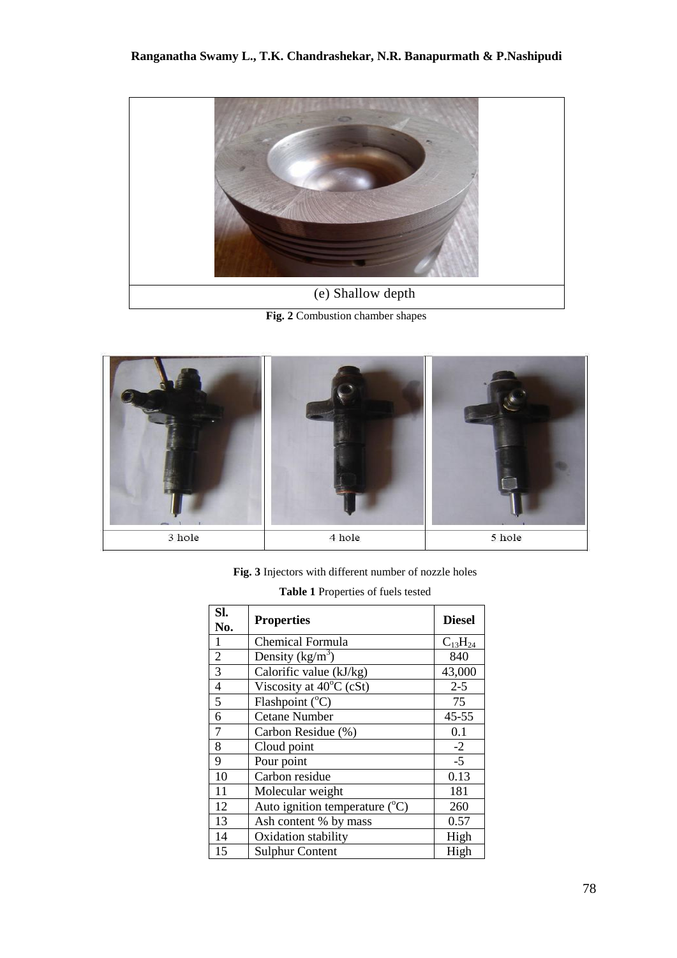

(e) Shallow depth

**Fig. 2** Combustion chamber shapes



**Fig. 3** Injectors with different number of nozzle holes

| Sl.<br>No.     | <b>Properties</b>                         | <b>Diesel</b>  |  |
|----------------|-------------------------------------------|----------------|--|
| $\mathbf{1}$   | <b>Chemical Formula</b>                   | $C_{13}H_{24}$ |  |
| $\frac{2}{3}$  | Density $(kg/m^3)$                        | 840            |  |
|                | Calorific value (kJ/kg)                   | 43,000         |  |
| $\overline{4}$ | Viscosity at 40°C (cSt)                   | $2 - 5$        |  |
| 5              | Flashpoint $(^{\circ}C)$                  | 75             |  |
| 6              | <b>Cetane Number</b>                      | $45 - 55$      |  |
| $\overline{7}$ | Carbon Residue (%)                        | 0.1            |  |
| 8              | Cloud point                               | $-2$           |  |
| 9              | Pour point                                | $-5$           |  |
| 10             | Carbon residue                            | 0.13           |  |
| 11             | Molecular weight                          | 181            |  |
| 12             | Auto ignition temperature $({}^{\circ}C)$ | 260            |  |
| 13             | Ash content % by mass                     | 0.57           |  |
| 14             | High<br>Oxidation stability               |                |  |
| 15             | High<br><b>Sulphur Content</b>            |                |  |

| <b>Table 1</b> Properties of fuels tested |  |
|-------------------------------------------|--|
|-------------------------------------------|--|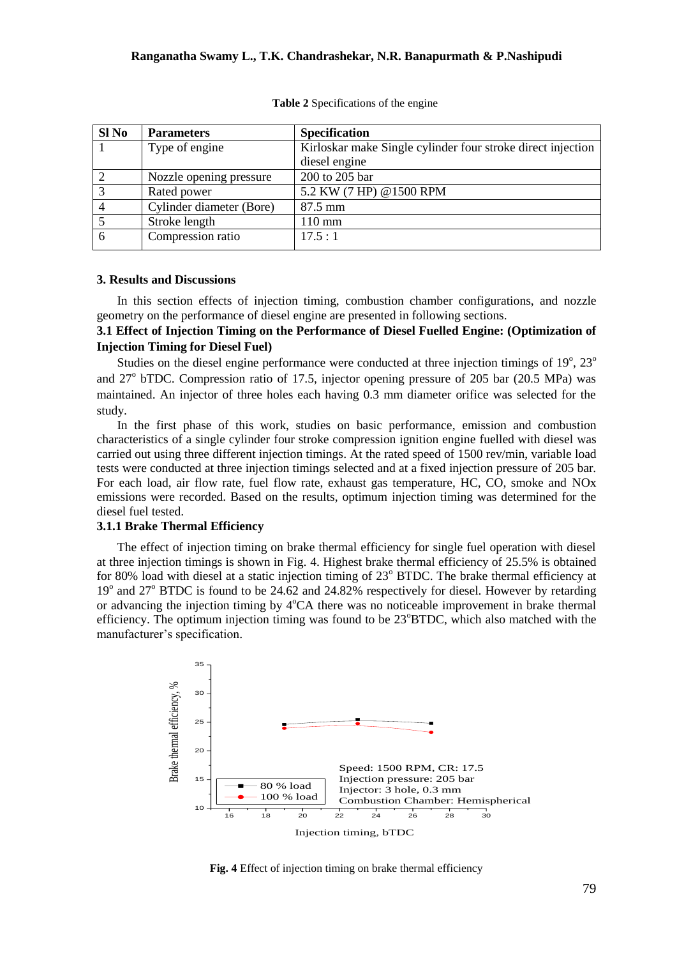| Sl No          | <b>Parameters</b>        | <b>Specification</b>                                        |
|----------------|--------------------------|-------------------------------------------------------------|
|                | Type of engine           | Kirloskar make Single cylinder four stroke direct injection |
|                |                          | diesel engine                                               |
| $\overline{2}$ | Nozzle opening pressure  | 200 to 205 bar                                              |
| $\overline{3}$ | Rated power              | 5.2 KW (7 HP) @1500 RPM                                     |
| $\overline{4}$ | Cylinder diameter (Bore) | 87.5 mm                                                     |
|                | Stroke length            | $110 \text{ mm}$                                            |
| 6              | Compression ratio        | 17.5:1                                                      |
|                |                          |                                                             |

**Table 2** Specifications of the engine

## **3. Results and Discussions**

In this section effects of injection timing, combustion chamber configurations, and nozzle geometry on the performance of diesel engine are presented in following sections.

## **3.1 Effect of Injection Timing on the Performance of Diesel Fuelled Engine: (Optimization of Injection Timing for Diesel Fuel)**

Studies on the diesel engine performance were conducted at three injection timings of  $19^{\circ}$ ,  $23^{\circ}$ and 27<sup>°</sup> bTDC. Compression ratio of 17.5, injector opening pressure of 205 bar (20.5 MPa) was maintained. An injector of three holes each having 0.3 mm diameter orifice was selected for the study.

In the first phase of this work, studies on basic performance, emission and combustion characteristics of a single cylinder four stroke compression ignition engine fuelled with diesel was carried out using three different injection timings. At the rated speed of 1500 rev/min, variable load tests were conducted at three injection timings selected and at a fixed injection pressure of 205 bar. For each load, air flow rate, fuel flow rate, exhaust gas temperature, HC, CO, smoke and NOx emissions were recorded. Based on the results, optimum injection timing was determined for the diesel fuel tested.

#### **3.1.1 Brake Thermal Efficiency**

The effect of injection timing on brake thermal efficiency for single fuel operation with diesel at three injection timings is shown in Fig. 4. Highest brake thermal efficiency of 25.5% is obtained for 80% load with diesel at a static injection timing of  $23^{\circ}$  BTDC. The brake thermal efficiency at 19<sup>o</sup> and 27<sup>o</sup> BTDC is found to be 24.62 and 24.82% respectively for diesel. However by retarding or advancing the injection timing by  $4^{\circ}CA$  there was no noticeable improvement in brake thermal efficiency. The optimum injection timing was found to be  $23^{\circ}B TDC$ , which also matched with the manufacturer's specification.



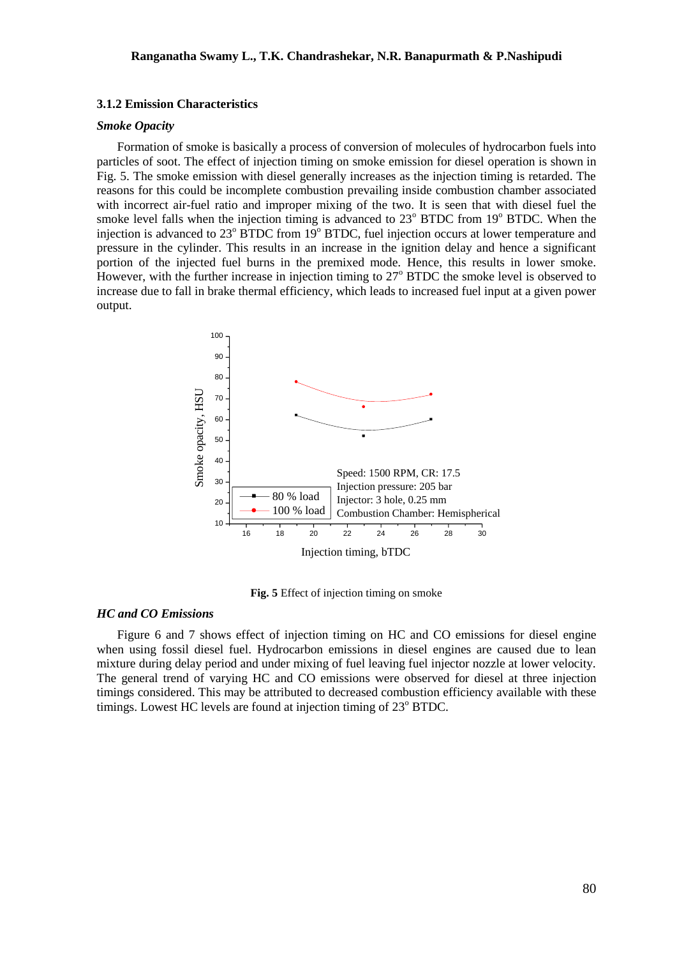## **3.1.2 Emission Characteristics**

## *Smoke Opacity*

Formation of smoke is basically a process of conversion of molecules of hydrocarbon fuels into particles of soot. The effect of injection timing on smoke emission for diesel operation is shown in Fig. 5. The smoke emission with diesel generally increases as the injection timing is retarded. The reasons for this could be incomplete combustion prevailing inside combustion chamber associated with incorrect air-fuel ratio and improper mixing of the two. It is seen that with diesel fuel the smoke level falls when the injection timing is advanced to  $23^{\circ}$  BTDC from 19 $^{\circ}$  BTDC. When the injection is advanced to  $23^{\circ}$  BTDC from 19 $^{\circ}$  BTDC, fuel injection occurs at lower temperature and pressure in the cylinder. This results in an increase in the ignition delay and hence a significant portion of the injected fuel burns in the premixed mode. Hence, this results in lower smoke. However, with the further increase in injection timing to  $27^{\circ}$  BTDC the smoke level is observed to increase due to fall in brake thermal efficiency, which leads to increased fuel input at a given power output.



**Fig. 5** Effect of injection timing on smoke

### *HC and CO Emissions*

Figure 6 and 7 shows effect of injection timing on HC and CO emissions for diesel engine when using fossil diesel fuel. Hydrocarbon emissions in diesel engines are caused due to lean mixture during delay period and under mixing of fuel leaving fuel injector nozzle at lower velocity. The general trend of varying HC and CO emissions were observed for diesel at three injection timings considered. This may be attributed to decreased combustion efficiency available with these timings. Lowest HC levels are found at injection timing of  $23^{\circ}$  BTDC.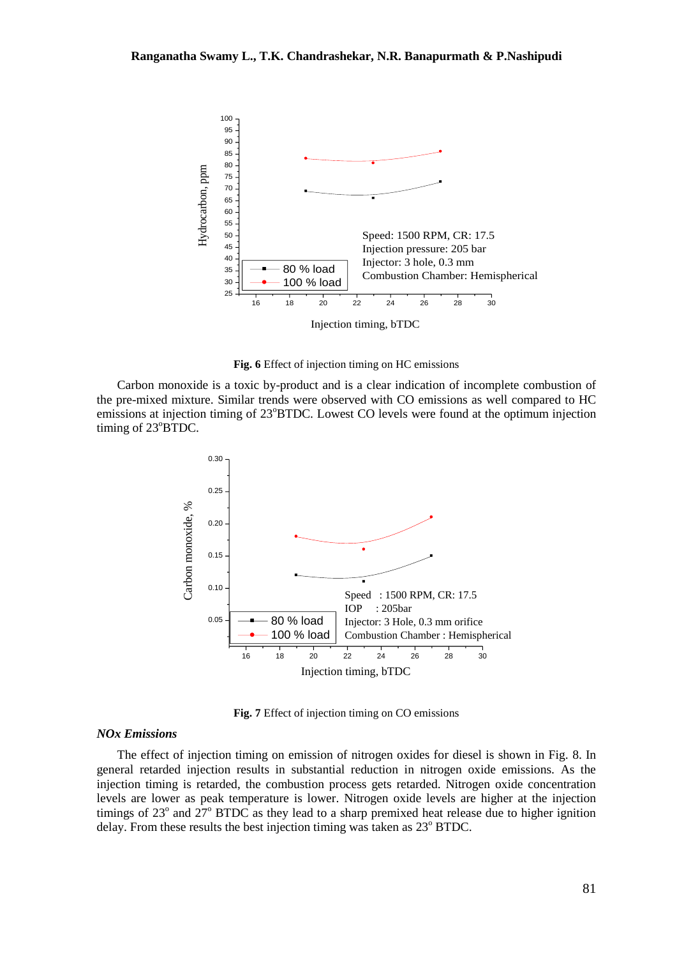

**Fig. 6** Effect of injection timing on HC emissions

Carbon monoxide is a toxic by-product and is a clear indication of incomplete combustion of the pre-mixed mixture. Similar trends were observed with CO emissions as well compared to HC emissions at injection timing of 23°BTDC. Lowest CO levels were found at the optimum injection timing of 23°BTDC.



**Fig. 7** Effect of injection timing on CO emissions

#### *NOx Emissions*

The effect of injection timing on emission of nitrogen oxides for diesel is shown in Fig. 8. In general retarded injection results in substantial reduction in nitrogen oxide emissions. As the injection timing is retarded, the combustion process gets retarded. Nitrogen oxide concentration levels are lower as peak temperature is lower. Nitrogen oxide levels are higher at the injection timings of 23 $\degree$  and 27 $\degree$  BTDC as they lead to a sharp premixed heat release due to higher ignition delay. From these results the best injection timing was taken as 23° BTDC.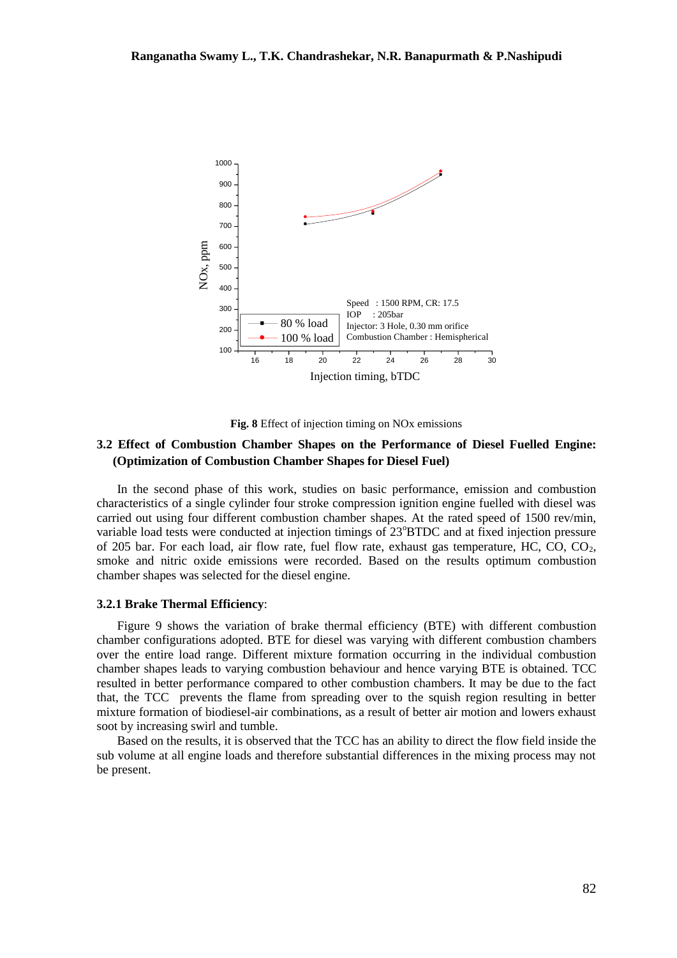

**Fig. 8** Effect of injection timing on NOx emissions

## **3.2 Effect of Combustion Chamber Shapes on the Performance of Diesel Fuelled Engine: (Optimization of Combustion Chamber Shapes for Diesel Fuel)**

In the second phase of this work, studies on basic performance, emission and combustion characteristics of a single cylinder four stroke compression ignition engine fuelled with diesel was carried out using four different combustion chamber shapes. At the rated speed of 1500 rev/min, variable load tests were conducted at injection timings of 23°BTDC and at fixed injection pressure of 205 bar. For each load, air flow rate, fuel flow rate, exhaust gas temperature, HC, CO,  $CO<sub>2</sub>$ , smoke and nitric oxide emissions were recorded. Based on the results optimum combustion chamber shapes was selected for the diesel engine.

## **3.2.1 Brake Thermal Efficiency**:

Figure 9 shows the variation of brake thermal efficiency (BTE) with different combustion chamber configurations adopted. BTE for diesel was varying with different combustion chambers over the entire load range. Different mixture formation occurring in the individual combustion chamber shapes leads to varying combustion behaviour and hence varying BTE is obtained. TCC resulted in better performance compared to other combustion chambers. It may be due to the fact that, the TCC prevents the flame from spreading over to the squish region resulting in better mixture formation of biodiesel-air combinations, as a result of better air motion and lowers exhaust soot by increasing swirl and tumble.

Based on the results, it is observed that the TCC has an ability to direct the flow field inside the sub volume at all engine loads and therefore substantial differences in the mixing process may not be present.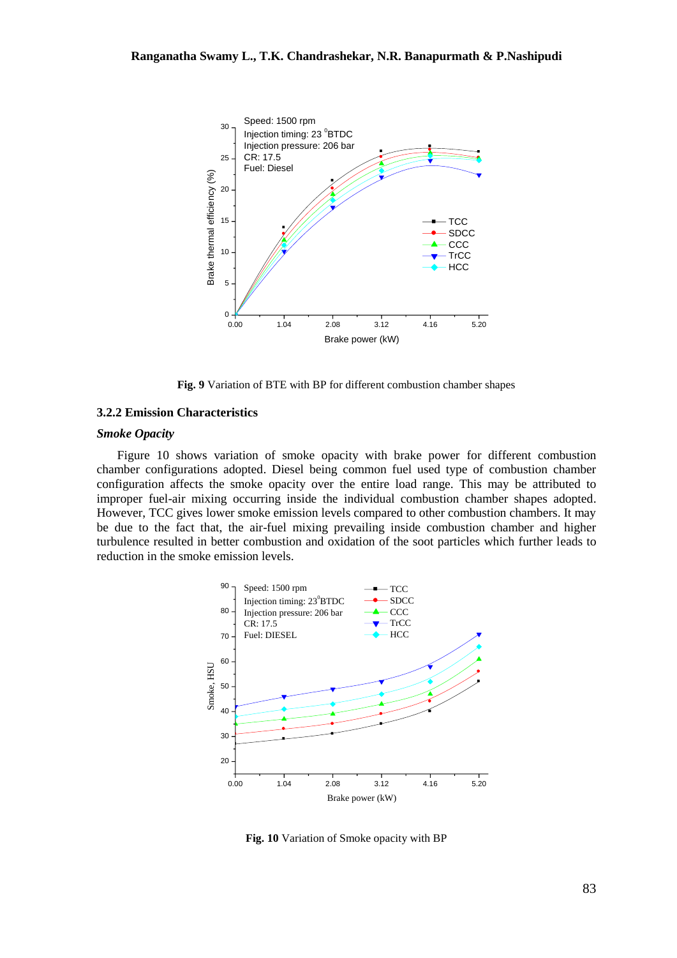

**Fig. 9** Variation of BTE with BP for different combustion chamber shapes

### **3.2.2 Emission Characteristics**

## *Smoke Opacity*

Figure 10 shows variation of smoke opacity with brake power for different combustion chamber configurations adopted. Diesel being common fuel used type of combustion chamber configuration affects the smoke opacity over the entire load range. This may be attributed to improper fuel-air mixing occurring inside the individual combustion chamber shapes adopted. However, TCC gives lower smoke emission levels compared to other combustion chambers. It may be due to the fact that, the air-fuel mixing prevailing inside combustion chamber and higher turbulence resulted in better combustion and oxidation of the soot particles which further leads to reduction in the smoke emission levels.



**Fig. 10** Variation of Smoke opacity with BP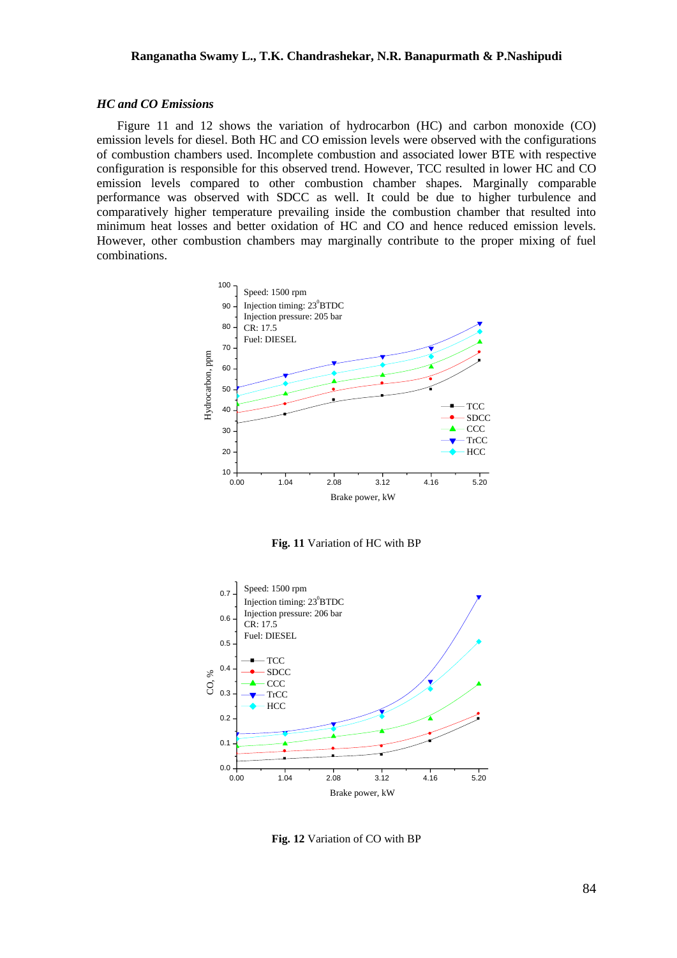### *HC and CO Emissions*

Figure 11 and 12 shows the variation of hydrocarbon (HC) and carbon monoxide (CO) emission levels for diesel. Both HC and CO emission levels were observed with the configurations of combustion chambers used. Incomplete combustion and associated lower BTE with respective configuration is responsible for this observed trend. However, TCC resulted in lower HC and CO emission levels compared to other combustion chamber shapes. Marginally comparable performance was observed with SDCC as well. It could be due to higher turbulence and comparatively higher temperature prevailing inside the combustion chamber that resulted into minimum heat losses and better oxidation of HC and CO and hence reduced emission levels. However, other combustion chambers may marginally contribute to the proper mixing of fuel combinations.



**Fig. 11** Variation of HC with BP



**Fig. 12** Variation of CO with BP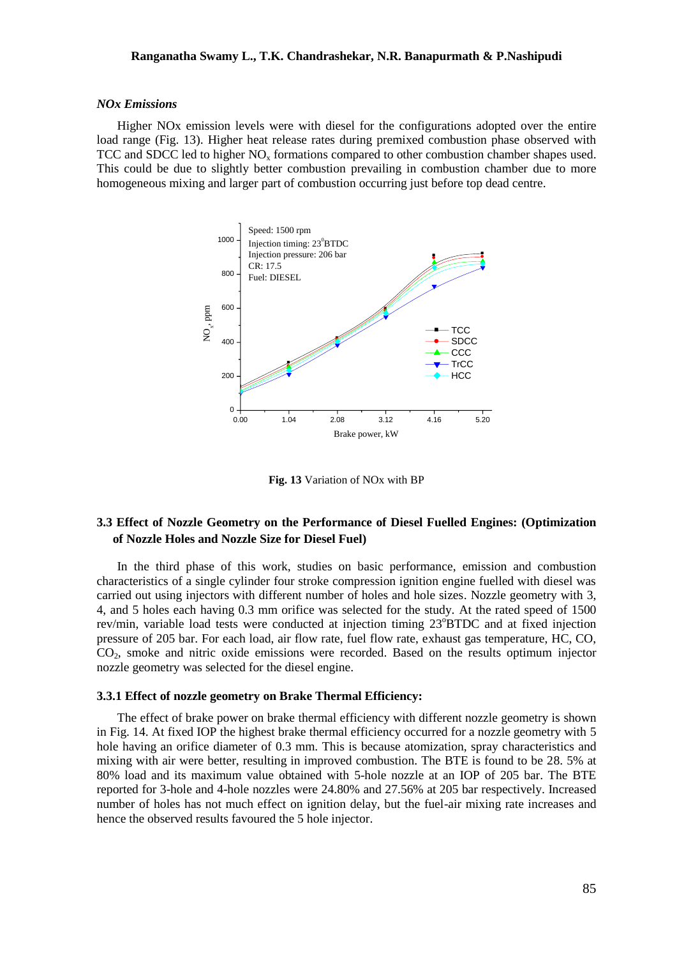### *NOx Emissions*

Higher NOx emission levels were with diesel for the configurations adopted over the entire load range (Fig. 13). Higher heat release rates during premixed combustion phase observed with TCC and SDCC led to higher  $NO<sub>x</sub>$  formations compared to other combustion chamber shapes used. This could be due to slightly better combustion prevailing in combustion chamber due to more homogeneous mixing and larger part of combustion occurring just before top dead centre.



**Fig. 13** Variation of NOx with BP

## **3.3 Effect of Nozzle Geometry on the Performance of Diesel Fuelled Engines: (Optimization of Nozzle Holes and Nozzle Size for Diesel Fuel)**

In the third phase of this work, studies on basic performance, emission and combustion characteristics of a single cylinder four stroke compression ignition engine fuelled with diesel was carried out using injectors with different number of holes and hole sizes. Nozzle geometry with 3, 4, and 5 holes each having 0.3 mm orifice was selected for the study. At the rated speed of 1500 rev/min, variable load tests were conducted at injection timing 23°BTDC and at fixed injection pressure of 205 bar. For each load, air flow rate, fuel flow rate, exhaust gas temperature, HC, CO, CO2, smoke and nitric oxide emissions were recorded. Based on the results optimum injector nozzle geometry was selected for the diesel engine.

### **3.3.1 Effect of nozzle geometry on Brake Thermal Efficiency:**

The effect of brake power on brake thermal efficiency with different nozzle geometry is shown in Fig. 14. At fixed IOP the highest brake thermal efficiency occurred for a nozzle geometry with 5 hole having an orifice diameter of 0.3 mm. This is because atomization, spray characteristics and mixing with air were better, resulting in improved combustion. The BTE is found to be 28. 5% at 80% load and its maximum value obtained with 5-hole nozzle at an IOP of 205 bar. The BTE reported for 3-hole and 4-hole nozzles were 24.80% and 27.56% at 205 bar respectively. Increased number of holes has not much effect on ignition delay, but the fuel-air mixing rate increases and hence the observed results favoured the 5 hole injector.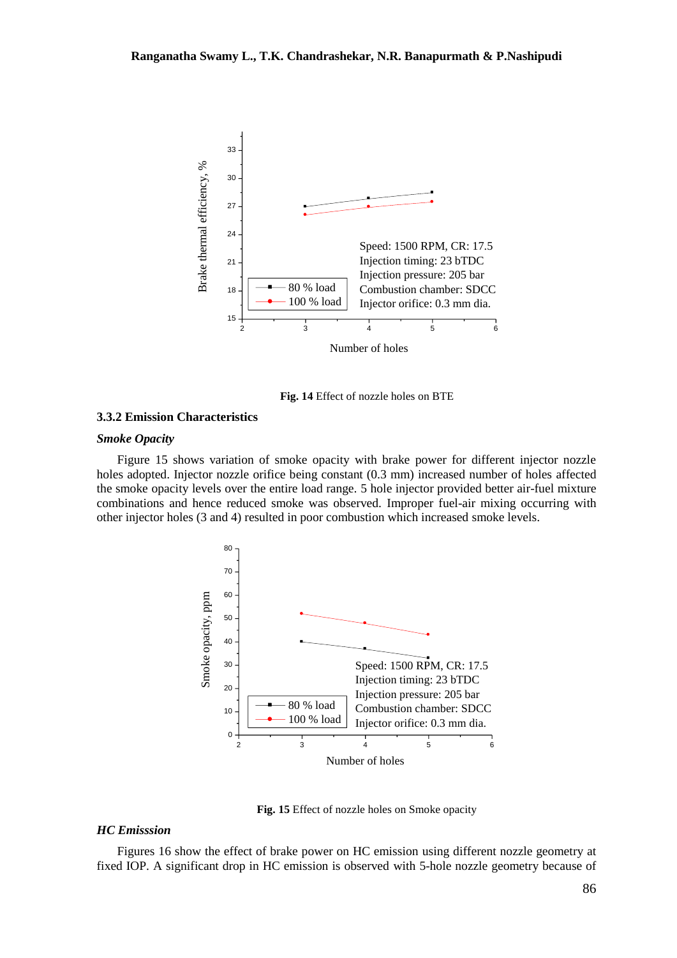

**Fig. 14** Effect of nozzle holes on BTE

## **3.3.2 Emission Characteristics**

## *Smoke Opacity*

Figure 15 shows variation of smoke opacity with brake power for different injector nozzle holes adopted. Injector nozzle orifice being constant (0.3 mm) increased number of holes affected the smoke opacity levels over the entire load range. 5 hole injector provided better air-fuel mixture combinations and hence reduced smoke was observed. Improper fuel-air mixing occurring with other injector holes (3 and 4) resulted in poor combustion which increased smoke levels.



**Fig. 15** Effect of nozzle holes on Smoke opacity

## *HC Emisssion*

Figures 16 show the effect of brake power on HC emission using different nozzle geometry at fixed IOP. A significant drop in HC emission is observed with 5-hole nozzle geometry because of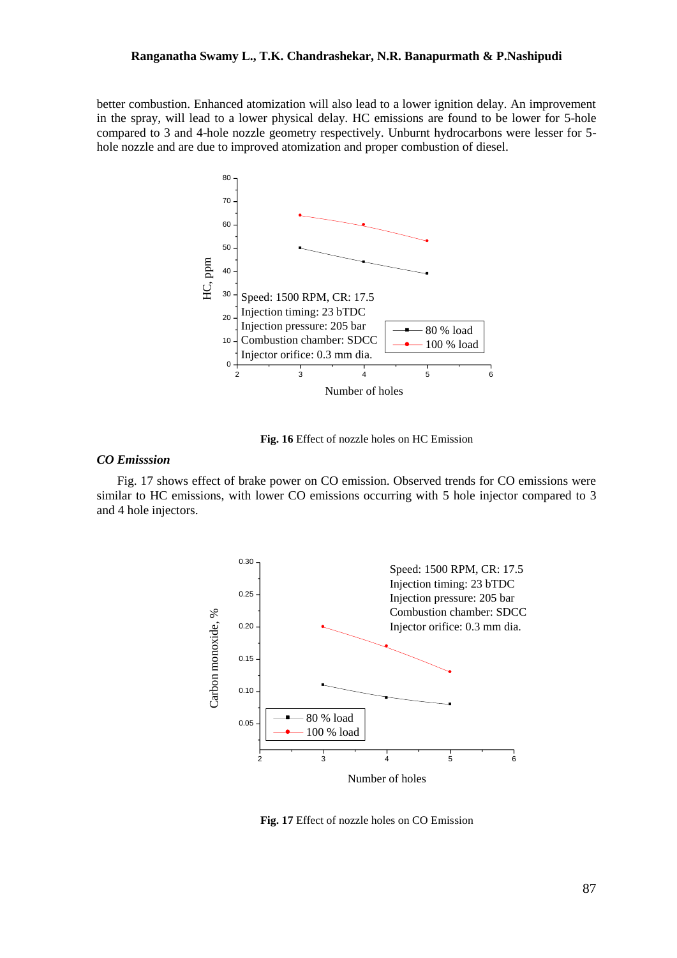better combustion. Enhanced atomization will also lead to a lower ignition delay. An improvement in the spray, will lead to a lower physical delay. HC emissions are found to be lower for 5-hole compared to 3 and 4-hole nozzle geometry respectively. Unburnt hydrocarbons were lesser for 5 hole nozzle and are due to improved atomization and proper combustion of diesel.



**Fig. 16** Effect of nozzle holes on HC Emission

### *CO Emisssion*

Fig. 17 shows effect of brake power on CO emission. Observed trends for CO emissions were similar to HC emissions, with lower CO emissions occurring with 5 hole injector compared to 3 and 4 hole injectors.



**Fig. 17** Effect of nozzle holes on CO Emission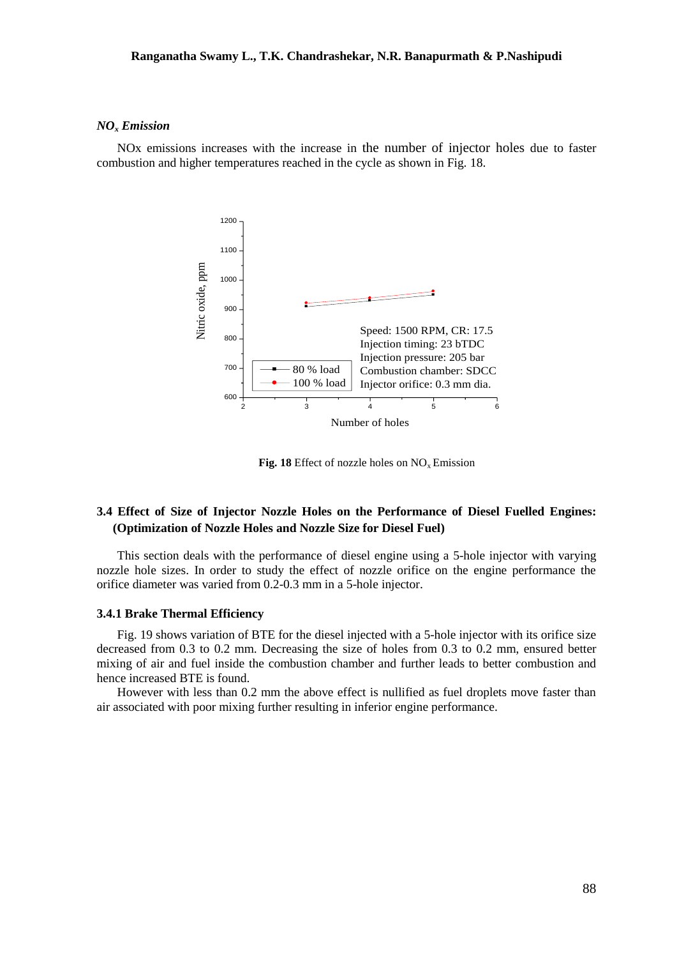### *NO<sup>x</sup> Emission*

NOx emissions increases with the increase in the number of injector holes due to faster combustion and higher temperatures reached in the cycle as shown in Fig. 18.



**Fig. 18** Effect of nozzle holes on  $NO<sub>x</sub>$  Emission

## **3.4 Effect of Size of Injector Nozzle Holes on the Performance of Diesel Fuelled Engines: (Optimization of Nozzle Holes and Nozzle Size for Diesel Fuel)**

This section deals with the performance of diesel engine using a 5-hole injector with varying nozzle hole sizes. In order to study the effect of nozzle orifice on the engine performance the orifice diameter was varied from 0.2-0.3 mm in a 5-hole injector.

### **3.4.1 Brake Thermal Efficiency**

Fig. 19 shows variation of BTE for the diesel injected with a 5-hole injector with its orifice size decreased from 0.3 to 0.2 mm. Decreasing the size of holes from 0.3 to 0.2 mm, ensured better mixing of air and fuel inside the combustion chamber and further leads to better combustion and hence increased BTE is found.

However with less than 0.2 mm the above effect is nullified as fuel droplets move faster than air associated with poor mixing further resulting in inferior engine performance.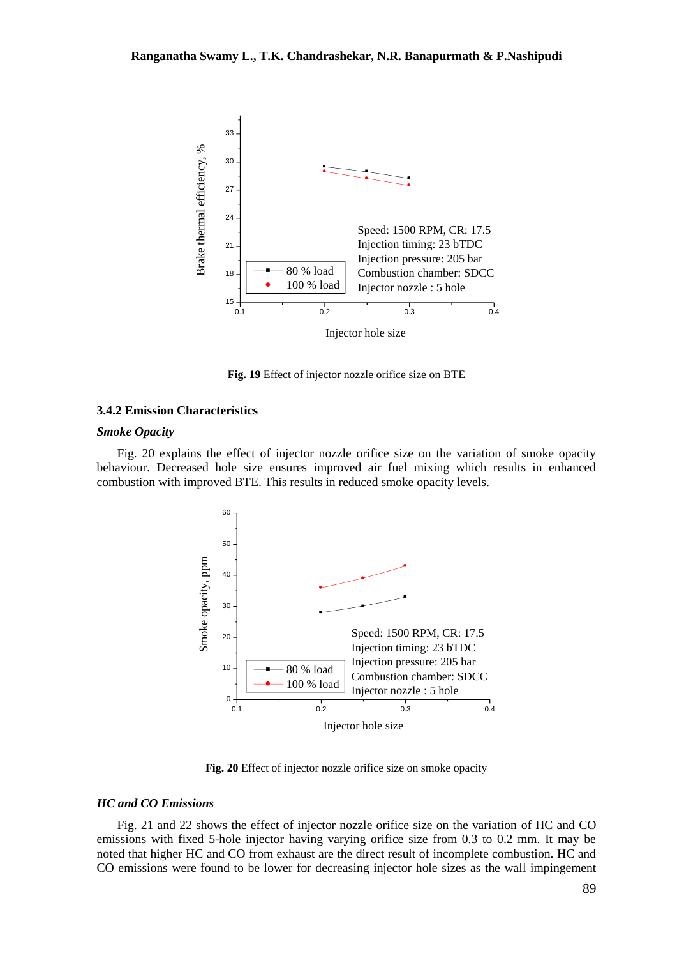

**Fig. 19** Effect of injector nozzle orifice size on BTE

## **3.4.2 Emission Characteristics**

### *Smoke Opacity*

Fig. 20 explains the effect of injector nozzle orifice size on the variation of smoke opacity behaviour. Decreased hole size ensures improved air fuel mixing which results in enhanced combustion with improved BTE. This results in reduced smoke opacity levels.



**Fig. 20** Effect of injector nozzle orifice size on smoke opacity

## *HC and CO Emissions*

Fig. 21 and 22 shows the effect of injector nozzle orifice size on the variation of HC and CO emissions with fixed 5-hole injector having varying orifice size from 0.3 to 0.2 mm. It may be noted that higher HC and CO from exhaust are the direct result of incomplete combustion. HC and CO emissions were found to be lower for decreasing injector hole sizes as the wall impingement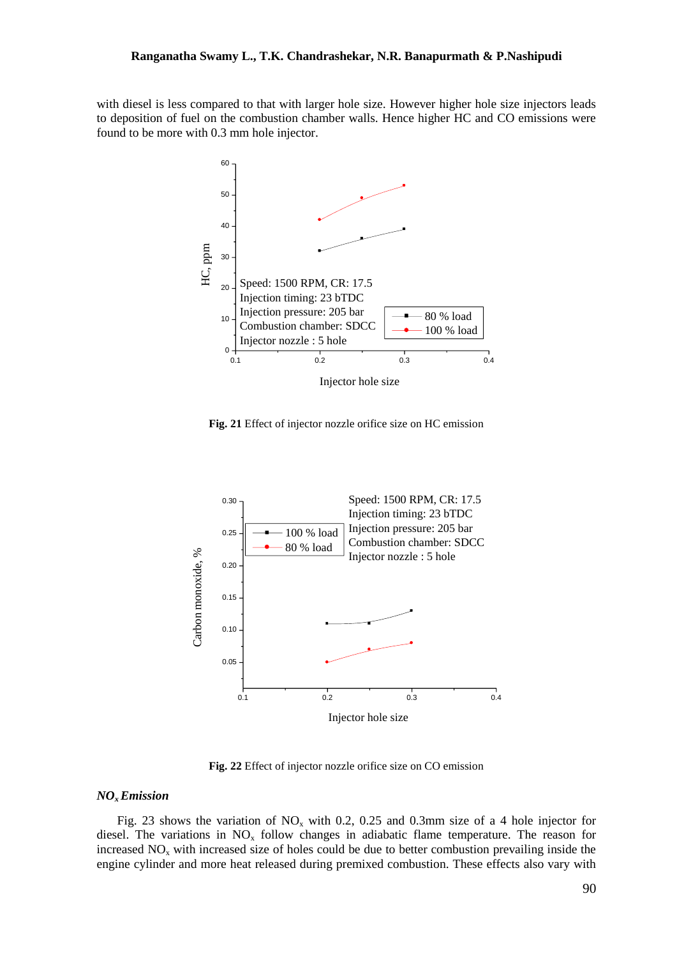with diesel is less compared to that with larger hole size. However higher hole size injectors leads to deposition of fuel on the combustion chamber walls. Hence higher HC and CO emissions were found to be more with 0.3 mm hole injector.



**Fig. 21** Effect of injector nozzle orifice size on HC emission



**Fig. 22** Effect of injector nozzle orifice size on CO emission

#### *NOx Emission*

Fig. 23 shows the variation of  $NO_x$  with 0.2, 0.25 and 0.3mm size of a 4 hole injector for diesel. The variations in  $NO<sub>x</sub>$  follow changes in adiabatic flame temperature. The reason for increased  $NO<sub>x</sub>$  with increased size of holes could be due to better combustion prevailing inside the engine cylinder and more heat released during premixed combustion. These effects also vary with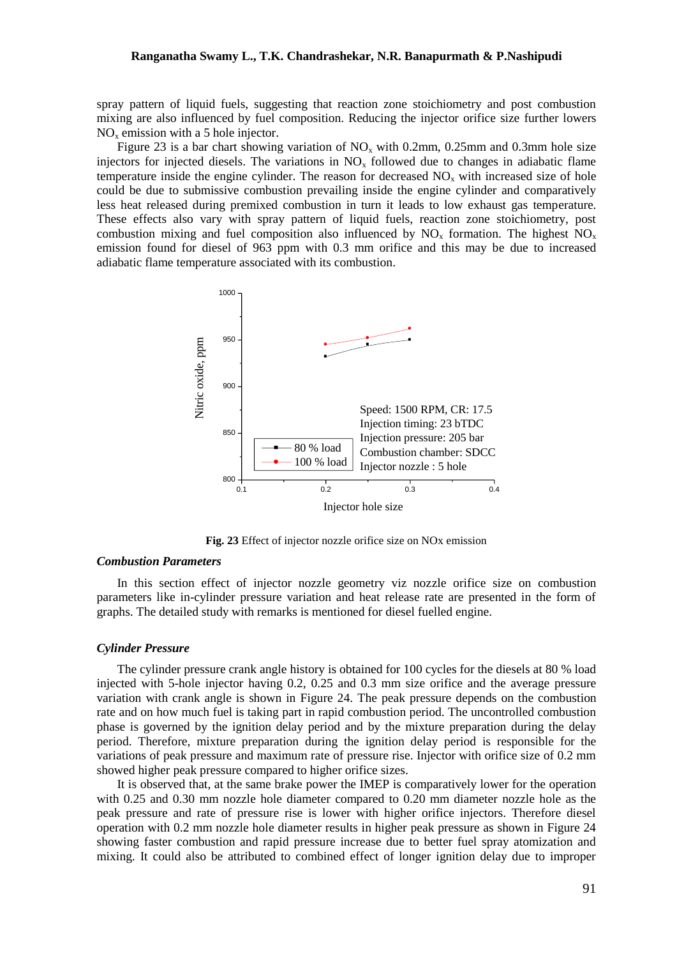spray pattern of liquid fuels, suggesting that reaction zone stoichiometry and post combustion mixing are also influenced by fuel composition. Reducing the injector orifice size further lowers  $NO<sub>x</sub>$  emission with a 5 hole injector.

Figure 23 is a bar chart showing variation of  $NO<sub>x</sub>$  with 0.2mm, 0.25mm and 0.3mm hole size injectors for injected diesels. The variations in  $NO<sub>x</sub>$  followed due to changes in adiabatic flame temperature inside the engine cylinder. The reason for decreased  $NO<sub>x</sub>$  with increased size of hole could be due to submissive combustion prevailing inside the engine cylinder and comparatively less heat released during premixed combustion in turn it leads to low exhaust gas temperature. These effects also vary with spray pattern of liquid fuels, reaction zone stoichiometry, post combustion mixing and fuel composition also influenced by  $NO<sub>x</sub>$  formation. The highest  $NO<sub>x</sub>$ emission found for diesel of 963 ppm with 0.3 mm orifice and this may be due to increased adiabatic flame temperature associated with its combustion.



**Fig. 23** Effect of injector nozzle orifice size on NOx emission

### *Combustion Parameters*

In this section effect of injector nozzle geometry viz nozzle orifice size on combustion parameters like in-cylinder pressure variation and heat release rate are presented in the form of graphs. The detailed study with remarks is mentioned for diesel fuelled engine.

#### *Cylinder Pressure*

The cylinder pressure crank angle history is obtained for 100 cycles for the diesels at 80 % load injected with 5-hole injector having 0.2, 0.25 and 0.3 mm size orifice and the average pressure variation with crank angle is shown in Figure 24. The peak pressure depends on the combustion rate and on how much fuel is taking part in rapid combustion period. The uncontrolled combustion phase is governed by the ignition delay period and by the mixture preparation during the delay period. Therefore, mixture preparation during the ignition delay period is responsible for the variations of peak pressure and maximum rate of pressure rise. Injector with orifice size of 0.2 mm showed higher peak pressure compared to higher orifice sizes.

It is observed that, at the same brake power the IMEP is comparatively lower for the operation with 0.25 and 0.30 mm nozzle hole diameter compared to 0.20 mm diameter nozzle hole as the peak pressure and rate of pressure rise is lower with higher orifice injectors. Therefore diesel operation with 0.2 mm nozzle hole diameter results in higher peak pressure as shown in Figure 24 showing faster combustion and rapid pressure increase due to better fuel spray atomization and mixing. It could also be attributed to combined effect of longer ignition delay due to improper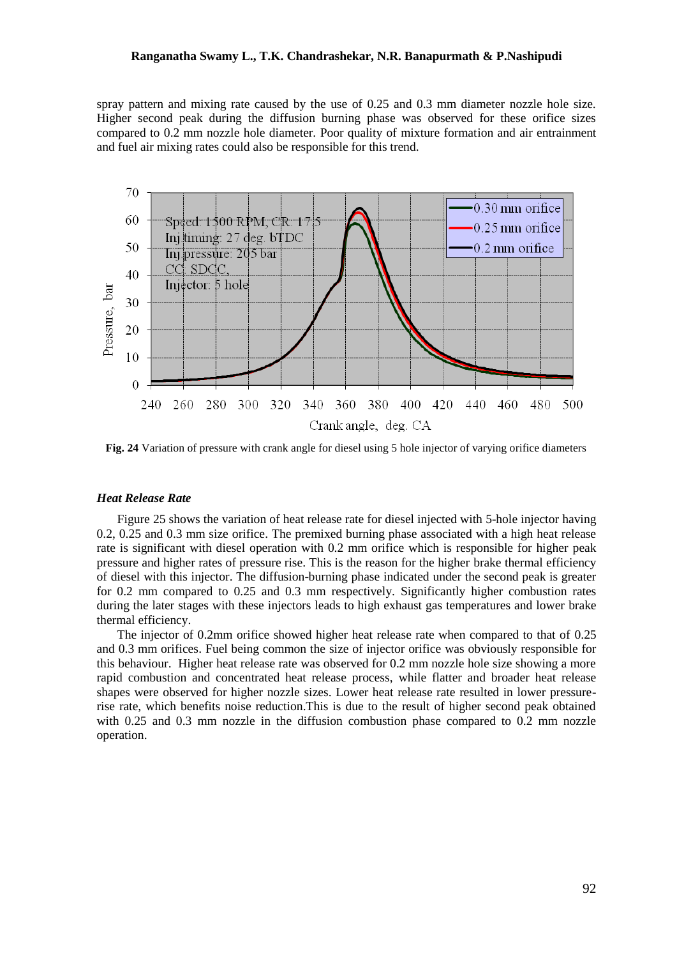spray pattern and mixing rate caused by the use of 0.25 and 0.3 mm diameter nozzle hole size. Higher second peak during the diffusion burning phase was observed for these orifice sizes compared to 0.2 mm nozzle hole diameter. Poor quality of mixture formation and air entrainment and fuel air mixing rates could also be responsible for this trend.



**Fig. 24** Variation of pressure with crank angle for diesel using 5 hole injector of varying orifice diameters

### *Heat Release Rate*

Figure 25 shows the variation of heat release rate for diesel injected with 5-hole injector having 0.2, 0.25 and 0.3 mm size orifice. The premixed burning phase associated with a high heat release rate is significant with diesel operation with 0.2 mm orifice which is responsible for higher peak pressure and higher rates of pressure rise. This is the reason for the higher brake thermal efficiency of diesel with this injector. The diffusion-burning phase indicated under the second peak is greater for 0.2 mm compared to 0.25 and 0.3 mm respectively. Significantly higher combustion rates during the later stages with these injectors leads to high exhaust gas temperatures and lower brake thermal efficiency.

The injector of 0.2mm orifice showed higher heat release rate when compared to that of 0.25 and 0.3 mm orifices. Fuel being common the size of injector orifice was obviously responsible for this behaviour. Higher heat release rate was observed for 0.2 mm nozzle hole size showing a more rapid combustion and concentrated heat release process, while flatter and broader heat release shapes were observed for higher nozzle sizes. Lower heat release rate resulted in lower pressurerise rate, which benefits noise reduction.This is due to the result of higher second peak obtained with 0.25 and 0.3 mm nozzle in the diffusion combustion phase compared to 0.2 mm nozzle operation.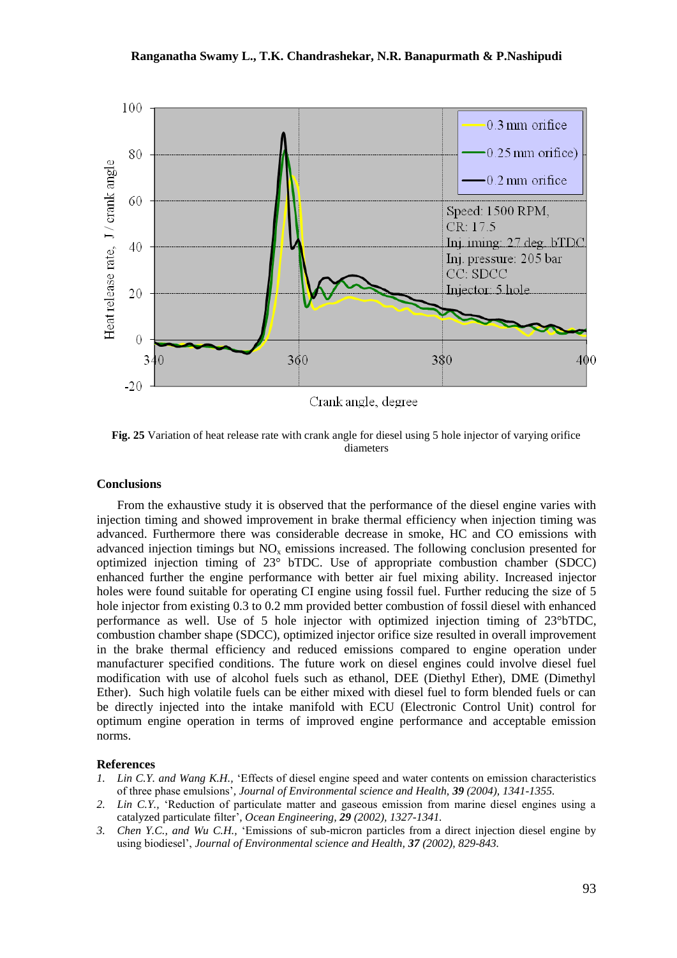

Crank angle, degree

**Fig. 25** Variation of heat release rate with crank angle for diesel using 5 hole injector of varying orifice diameters

### **Conclusions**

From the exhaustive study it is observed that the performance of the diesel engine varies with injection timing and showed improvement in brake thermal efficiency when injection timing was advanced. Furthermore there was considerable decrease in smoke, HC and CO emissions with advanced injection timings but  $NO<sub>x</sub>$  emissions increased. The following conclusion presented for optimized injection timing of 23° bTDC. Use of appropriate combustion chamber (SDCC) enhanced further the engine performance with better air fuel mixing ability. Increased injector holes were found suitable for operating CI engine using fossil fuel. Further reducing the size of 5 hole injector from existing 0.3 to 0.2 mm provided better combustion of fossil diesel with enhanced performance as well. Use of 5 hole injector with optimized injection timing of 23°bTDC, combustion chamber shape (SDCC), optimized injector orifice size resulted in overall improvement in the brake thermal efficiency and reduced emissions compared to engine operation under manufacturer specified conditions. The future work on diesel engines could involve diesel fuel modification with use of alcohol fuels such as ethanol, DEE (Diethyl Ether), DME (Dimethyl Ether). Such high volatile fuels can be either mixed with diesel fuel to form blended fuels or can be directly injected into the intake manifold with ECU (Electronic Control Unit) control for optimum engine operation in terms of improved engine performance and acceptable emission norms.

### **References**

- *1. Lin C.Y. and Wang K.H.,* 'Effects of diesel engine speed and water contents on emission characteristics of three phase emulsions'*, Journal of Environmental science and Health, 39 (2004), 1341-1355.*
- *2. Lin C.Y.,* 'Reduction of particulate matter and gaseous emission from marine diesel engines using a catalyzed particulate filter'*, Ocean Engineering, 29 (2002), 1327-1341.*
- *3. Chen Y.C., and Wu C.H.,* 'Emissions of sub-micron particles from a direct injection diesel engine by using biodiesel', *Journal of Environmental science and Health, 37 (2002), 829-843.*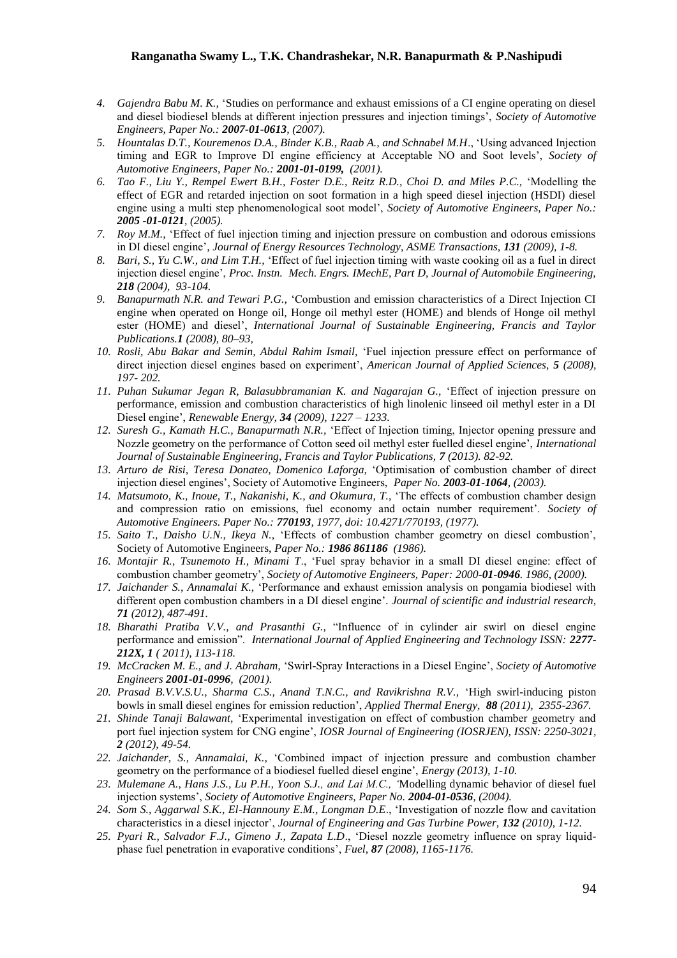- *4. Gajendra Babu M. K.,* 'Studies on performance and exhaust emissions of a CI engine operating on diesel and diesel biodiesel blends at different injection pressures and injection timings', *Society of Automotive Engineers, Paper No.: 2007-01-0613, (2007).*
- *5. Hountalas D.T., Kouremenos D.A., Binder K.B., Raab A., and Schnabel M.H*., 'Using advanced Injection timing and EGR to Improve DI engine efficiency at Acceptable NO and Soot levels', *Society of Automotive Engineers, Paper No.: 2001-01-0199, (2001).*
- *6. Tao F., Liu Y., Rempel Ewert B.H., Foster D.E., Reitz R.D., Choi D. and Miles P.C.,* 'Modelling the effect of EGR and retarded injection on soot formation in a high speed diesel injection (HSDI) diesel engine using a multi step phenomenological soot model', *Society of Automotive Engineers, Paper No.: 2005 -01-0121, (2005).*
- *7. Roy M.M.,* 'Effect of fuel injection timing and injection pressure on combustion and odorous emissions in DI diesel engine'*, Journal of Energy Resources Technology, ASME Transactions, 131 (2009), 1-8.*
- *8. Bari, S., Yu C.W., and Lim T.H.,* 'Effect of fuel injection timing with waste cooking oil as a fuel in direct injection diesel engine', *Proc. Instn. Mech. Engrs. IMechE, Part D, Journal of Automobile Engineering, 218 (2004), 93-104.*
- *9. Banapurmath N.R. and Tewari P.G.,* 'Combustion and emission characteristics of a Direct Injection CI engine when operated on Honge oil, Honge oil methyl ester (HOME) and blends of Honge oil methyl ester (HOME) and diesel', *International Journal of Sustainable Engineering, Francis and Taylor Publications.1 (2008), 80–93,*
- *10. Rosli, Abu Bakar and Semin, Abdul Rahim Ismail,* 'Fuel injection pressure effect on performance of direct injection diesel engines based on experiment', *American Journal of Applied Sciences, 5 (2008), 197- 202.*
- *11. Puhan Sukumar Jegan R, Balasubbramanian K. and Nagarajan G.,* 'Effect of injection pressure on performance, emission and combustion characteristics of high linolenic linseed oil methyl ester in a DI Diesel engine', *Renewable Energy, 34 (2009), 1227 – 1233.*
- *12. Suresh G., Kamath H.C., Banapurmath N.R.,* 'Effect of Injection timing, Injector opening pressure and Nozzle geometry on the performance of Cotton seed oil methyl ester fuelled diesel engine', *International Journal of Sustainable Engineering, Francis and Taylor Publications, 7 (2013). 82-92.*
- *13. Arturo de Risi, Teresa Donateo, Domenico Laforga,* 'Optimisation of combustion chamber of direct injection diesel engines', Society of Automotive Engineers, *Paper No. 2003-01-1064, (2003).*
- *14. Matsumoto, K., Inoue, T., Nakanishi, K., and Okumura, T.,* 'The effects of combustion chamber design and compression ratio on emissions, fuel economy and octain number requirement'. *Society of Automotive Engineers. Paper No.: 770193, 1977, doi: 10.4271/770193, (1977).*
- *15. Saito T., Daisho U.N., Ikeya N.,* 'Effects of combustion chamber geometry on diesel combustion', Society of Automotive Engineers, *Paper No.: 1986 861186 (1986).*
- *16. Montajir R., Tsunemoto H., Minami T*., 'Fuel spray behavior in a small DI diesel engine: effect of combustion chamber geometry', *Society of Automotive Engineers, Paper: 2000-01-0946. 1986, (2000).*
- *17. Jaichander S., Annamalai K.,* 'Performance and exhaust emission analysis on pongamia biodiesel with different open combustion chambers in a DI diesel engine'*. Journal of scientific and industrial research, 71 (2012), 487-491.*
- *18. Bharathi Pratiba V.V., and Prasanthi G.,* "Influence of in cylinder air swirl on diesel engine performance and emission". *International Journal of Applied Engineering and Technology ISSN: 2277- 212X, 1 ( 2011), 113-118.*
- *19. McCracken M. E., and J. Abraham,* 'Swirl-Spray Interactions in a Diesel Engine', *Society of Automotive Engineers 2001-01-0996, (2001).*
- *20. Prasad B.V.V.S.U., Sharma C.S., Anand T.N.C., and Ravikrishna R.V.,* 'High swirl-inducing piston bowls in small diesel engines for emission reduction', *Applied Thermal Energy, 88 (2011), 2355-2367.*
- *21. Shinde Tanaji Balawant,* 'Experimental investigation on effect of combustion chamber geometry and port fuel injection system for CNG engine', *IOSR Journal of Engineering (IOSRJEN), ISSN: 2250-3021, 2 (2012), 49-54.*
- *22. Jaichander, S., Annamalai, K.,* 'Combined impact of injection pressure and combustion chamber geometry on the performance of a biodiesel fuelled diesel engine', *Energy (2013), 1-10.*
- *23. Mulemane A., Hans J.S., Lu P.H., Yoon S.J., and Lai M.C., '*Modelling dynamic behavior of diesel fuel injection systems', *Society of Automotive Engineers, Paper No. 2004-01-0536, (2004).*
- *24. Som S., Aggarwal S.K., El-Hannouny E.M., Longman D.E*., 'Investigation of nozzle flow and cavitation characteristics in a diesel injector', *Journal of Engineering and Gas Turbine Power, 132 (2010), 1-12.*
- *25. Pyari R., Salvador F.J., Gimeno J., Zapata L.D*., 'Diesel nozzle geometry influence on spray liquidphase fuel penetration in evaporative conditions', *Fuel, 87 (2008), 1165-1176.*